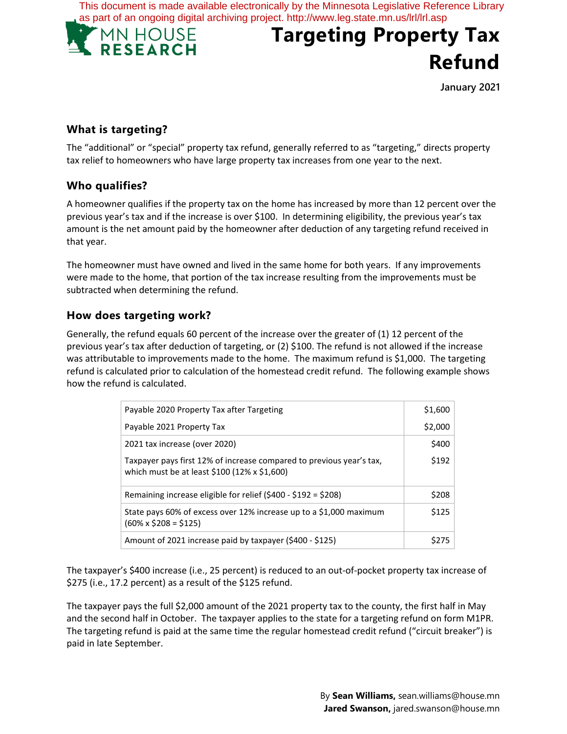This document is made available electronically by the Minnesota Legislative Reference Library as part of an ongoing digital archiving project. http://www.leg.state.mn.us/lrl/lrl.asp



# **Targeting Property Tax Refund**

**January 2021**

# **What is targeting?**

The "additional" or "special" property tax refund, generally referred to as "targeting," directs property tax relief to homeowners who have large property tax increases from one year to the next.

## **Who qualifies?**

A homeowner qualifies if the property tax on the home has increased by more than 12 percent over the previous year's tax and if the increase is over \$100. In determining eligibility, the previous year's tax amount is the net amount paid by the homeowner after deduction of any targeting refund received in that year.

The homeowner must have owned and lived in the same home for both years. If any improvements were made to the home, that portion of the tax increase resulting from the improvements must be subtracted when determining the refund.

## **How does targeting work?**

Generally, the refund equals 60 percent of the increase over the greater of (1) 12 percent of the previous year's tax after deduction of targeting, or (2) \$100. The refund is not allowed if the increase was attributable to improvements made to the home. The maximum refund is \$1,000. The targeting refund is calculated prior to calculation of the homestead credit refund. The following example shows how the refund is calculated.

| Payable 2020 Property Tax after Targeting                                                                            | \$1,600 |
|----------------------------------------------------------------------------------------------------------------------|---------|
| Payable 2021 Property Tax                                                                                            | \$2,000 |
| 2021 tax increase (over 2020)                                                                                        | \$400   |
| Taxpayer pays first 12% of increase compared to previous year's tax,<br>which must be at least \$100 (12% x \$1,600) | \$192   |
| Remaining increase eligible for relief (\$400 - \$192 = \$208)                                                       | \$208   |
| State pays 60% of excess over 12% increase up to a \$1,000 maximum<br>$(60\% \times $208 = $125)$                    | \$125   |
| Amount of 2021 increase paid by taxpayer (\$400 - \$125)                                                             |         |

The taxpayer's \$400 increase (i.e., 25 percent) is reduced to an out-of-pocket property tax increase of \$275 (i.e., 17.2 percent) as a result of the \$125 refund.

The taxpayer pays the full \$2,000 amount of the 2021 property tax to the county, the first half in May and the second half in October. The taxpayer applies to the state for a targeting refund on form M1PR. The targeting refund is paid at the same time the regular homestead credit refund ("circuit breaker") is paid in late September.